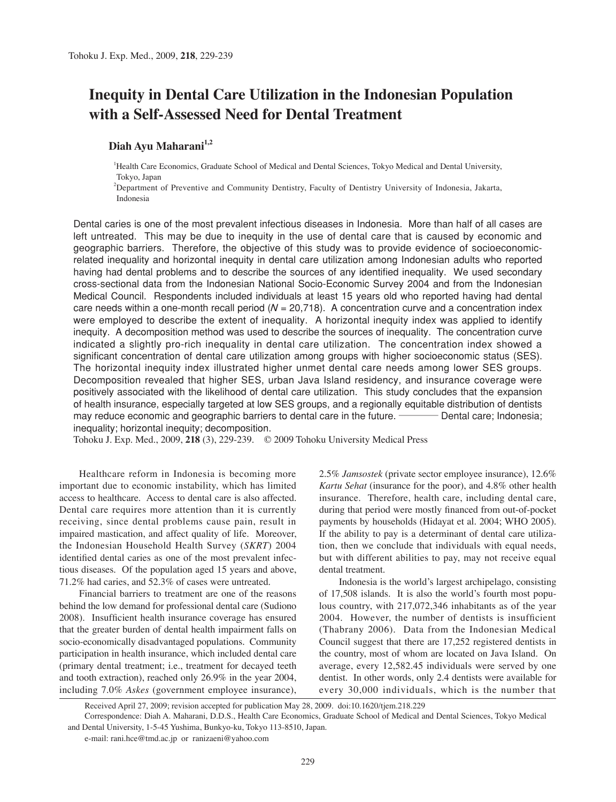# **Inequity in Dental Care Utilization in the Indonesian Population with a Self-Assessed Need for Dental Treatment**

## Diah Ayu Maharani<sup>1,2</sup>

<sup>1</sup>Health Care Economics, Graduate School of Medical and Dental Sciences, Tokyo Medical and Dental University, Tokyo, Japan

2 Department of Preventive and Community Dentistry, Faculty of Dentistry University of Indonesia, Jakarta, Indonesia

Dental caries is one of the most prevalent infectious diseases in Indonesia. More than half of all cases are left untreated. This may be due to inequity in the use of dental care that is caused by economic and geographic barriers. Therefore, the objective of this study was to provide evidence of socioeconomicrelated inequality and horizontal inequity in dental care utilization among Indonesian adults who reported having had dental problems and to describe the sources of any identified inequality. We used secondary cross-sectional data from the Indonesian National Socio-Economic Survey 2004 and from the Indonesian Medical Council. Respondents included individuals at least 15 years old who reported having had dental care needs within a one-month recall period ( $N = 20,718$ ). A concentration curve and a concentration index were employed to describe the extent of inequality. A horizontal inequity index was applied to identify inequity. A decomposition method was used to describe the sources of inequality. The concentration curve indicated a slightly pro-rich inequality in dental care utilization. The concentration index showed a significant concentration of dental care utilization among groups with higher socioeconomic status (SES). The horizontal inequity index illustrated higher unmet dental care needs among lower SES groups. Decomposition revealed that higher SES, urban Java Island residency, and insurance coverage were positively associated with the likelihood of dental care utilization. This study concludes that the expansion of health insurance, especially targeted at low SES groups, and a regionally equitable distribution of dentists positively associated with the likelihood of dental care utilization. This study concludes that the expansion<br>of health insurance, especially targeted at low SES groups, and a regionally equitable distribution of dentists<br> inequality; horizontal inequity; decomposition.

Tohoku J. Exp. Med., 2009, **218** (3), 229-239. © 2009 Tohoku University Medical Press

Healthcare reform in Indonesia is becoming more important due to economic instability, which has limited access to healthcare. Access to dental care is also affected. Dental care requires more attention than it is currently receiving, since dental problems cause pain, result in impaired mastication, and affect quality of life. Moreover, the Indonesian Household Health Survey (*SKRT*) 2004 identified dental caries as one of the most prevalent infectious diseases. Of the population aged 15 years and above, 71.2% had caries, and 52.3% of cases were untreated.

Financial barriers to treatment are one of the reasons behind the low demand for professional dental care (Sudiono 2008). Insufficient health insurance coverage has ensured that the greater burden of dental health impairment falls on socio-economically disadvantaged populations. Community participation in health insurance, which included dental care (primary dental treatment; i.e., treatment for decayed teeth and tooth extraction), reached only 26.9% in the year 2004, including 7.0% *Askes* (government employee insurance),

2.5% *Jamsostek* (private sector employee insurance), 12.6% *Kartu Sehat* (insurance for the poor), and 4.8% other health insurance. Therefore, health care, including dental care, during that period were mostly financed from out-of-pocket payments by households (Hidayat et al. 2004; WHO 2005). If the ability to pay is a determinant of dental care utilization, then we conclude that individuals with equal needs, but with different abilities to pay, may not receive equal dental treatment.

Indonesia is the world's largest archipelago, consisting of 17,508 islands. It is also the world's fourth most populous country, with 217,072,346 inhabitants as of the year 2004. However, the number of dentists is insufficient (Thabrany 2006). Data from the Indonesian Medical Council suggest that there are 17,252 registered dentists in the country, most of whom are located on Java Island. On average, every 12,582.45 individuals were served by one dentist. In other words, only 2.4 dentists were available for every 30,000 individuals, which is the number that

Received April 27, 2009; revision accepted for publication May 28, 2009. doi:10.1620/tjem.218.229

Correspondence: Diah A. Maharani, D.D.S., Health Care Economics, Graduate School of Medical and Dental Sciences, Tokyo Medical and Dental University, 1-5-45 Yushima, Bunkyo-ku, Tokyo 113-8510, Japan.

e-mail: rani.hce@tmd.ac.jp or ranizaeni@yahoo.com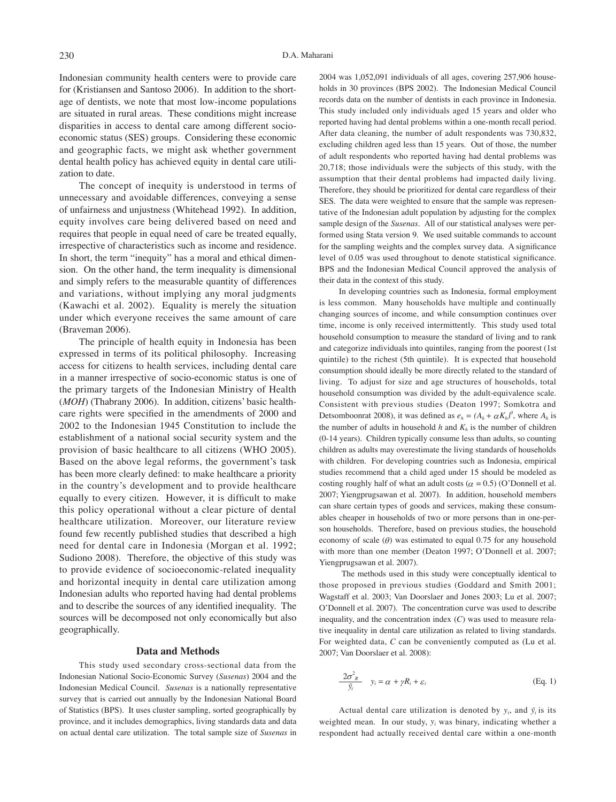Indonesian community health centers were to provide care for (Kristiansen and Santoso 2006). In addition to the shortage of dentists, we note that most low-income populations are situated in rural areas. These conditions might increase disparities in access to dental care among different socioeconomic status (SES) groups. Considering these economic and geographic facts, we might ask whether government dental health policy has achieved equity in dental care utilization to date.

The concept of inequity is understood in terms of unnecessary and avoidable differences, conveying a sense of unfairness and unjustness (Whitehead 1992). In addition, equity involves care being delivered based on need and requires that people in equal need of care be treated equally, irrespective of characteristics such as income and residence. In short, the term "inequity" has a moral and ethical dimension. On the other hand, the term inequality is dimensional and simply refers to the measurable quantity of differences and variations, without implying any moral judgments (Kawachi et al. 2002). Equality is merely the situation under which everyone receives the same amount of care (Braveman 2006).

The principle of health equity in Indonesia has been expressed in terms of its political philosophy. Increasing access for citizens to health services, including dental care in a manner irrespective of socio-economic status is one of the primary targets of the Indonesian Ministry of Health (*MOH*) (Thabrany 2006). In addition, citizens' basic healthcare rights were specified in the amendments of 2000 and 2002 to the Indonesian 1945 Constitution to include the establishment of a national social security system and the provision of basic healthcare to all citizens (WHO 2005). Based on the above legal reforms, the government's task has been more clearly defined: to make healthcare a priority in the country's development and to provide healthcare equally to every citizen. However, it is difficult to make this policy operational without a clear picture of dental healthcare utilization. Moreover, our literature review found few recently published studies that described a high need for dental care in Indonesia (Morgan et al. 1992; Sudiono 2008). Therefore, the objective of this study was to provide evidence of socioeconomic-related inequality and horizontal inequity in dental care utilization among Indonesian adults who reported having had dental problems and to describe the sources of any identified inequality. The sources will be decomposed not only economically but also geographically.

#### **Data and Methods**

This study used secondary cross-sectional data from the Indonesian National Socio-Economic Survey (*Susenas*) 2004 and the Indonesian Medical Council. *Susenas* is a nationally representative survey that is carried out annually by the Indonesian National Board of Statistics (BPS). It uses cluster sampling, sorted geographically by province, and it includes demographics, living standards data and data on actual dental care utilization. The total sample size of *Susenas* in 2004 was 1,052,091 individuals of all ages, covering 257,906 households in 30 provinces (BPS 2002). The Indonesian Medical Council records data on the number of dentists in each province in Indonesia. This study included only individuals aged 15 years and older who reported having had dental problems within a one-month recall period. After data cleaning, the number of adult respondents was 730,832, excluding children aged less than 15 years. Out of those, the number of adult respondents who reported having had dental problems was 20,718; those individuals were the subjects of this study, with the assumption that their dental problems had impacted daily living. Therefore, they should be prioritized for dental care regardless of their SES. The data were weighted to ensure that the sample was representative of the Indonesian adult population by adjusting for the complex sample design of the *Susenas.* All of our statistical analyses were performed using Stata version 9. We used suitable commands to account for the sampling weights and the complex survey data. A significance level of 0.05 was used throughout to denote statistical significance. BPS and the Indonesian Medical Council approved the analysis of their data in the context of this study.

In developing countries such as Indonesia, formal employment is less common. Many households have multiple and continually changing sources of income, and while consumption continues over time, income is only received intermittently. This study used total household consumption to measure the standard of living and to rank and categorize individuals into quintiles, ranging from the poorest (1st quintile) to the richest (5th quintile). It is expected that household consumption should ideally be more directly related to the standard of living. To adjust for size and age structures of households, total household consumption was divided by the adult-equivalence scale. Consistent with previous studies (Deaton 1997; Somkotra and Detsomboonrat 2008), it was defined as  $e_h = (A_h + \alpha K_h)^\theta$ , where  $A_h$  is the number of adults in household  $h$  and  $K_h$  is the number of children (0-14 years). Children typically consume less than adults, so counting children as adults may overestimate the living standards of households with children. For developing countries such as Indonesia, empirical studies recommend that a child aged under 15 should be modeled as costing roughly half of what an adult costs ( $\alpha$  = 0.5) (O'Donnell et al. 2007; Yiengprugsawan et al. 2007). In addition, household members can share certain types of goods and services, making these consumables cheaper in households of two or more persons than in one-person households. Therefore, based on previous studies, the household economy of scale  $(\theta)$  was estimated to equal 0.75 for any household with more than one member (Deaton 1997; O'Donnell et al. 2007; Yiengprugsawan et al. 2007).

 The methods used in this study were conceptually identical to those proposed in previous studies (Goddard and Smith 2001; Wagstaff et al. 2003; Van Doorslaer and Jones 2003; Lu et al. 2007; O'Donnell et al. 2007). The concentration curve was used to describe inequality, and the concentration index (*C*) was used to measure relative inequality in dental care utilization as related to living standards. For weighted data, *C* can be conveniently computed as (Lu et al. 2007; Van Doorslaer et al. 2008):

$$
\frac{2\sigma^2_{R}}{\bar{y}_i} \quad y_i = \alpha + \gamma R_i + \varepsilon_i \tag{Eq. 1}
$$

Actual dental care utilization is denoted by  $y_i$ , and  $\bar{y_i}$  is its weighted mean. In our study, *yi* was binary, indicating whether a respondent had actually received dental care within a one-month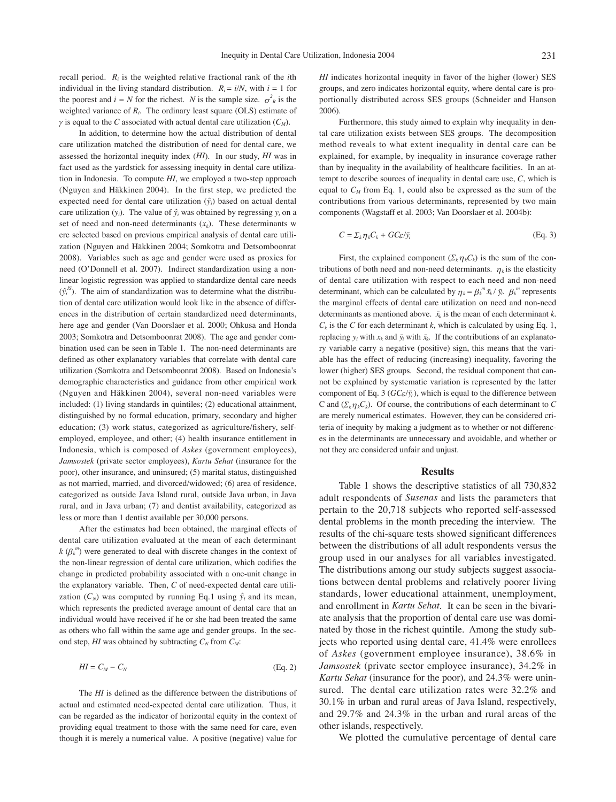recall period.  $R_i$  is the weighted relative fractional rank of the *i*th individual in the living standard distribution.  $R_i = i/N$ , with  $i = 1$  for the poorest and  $i = N$  for the richest. *N* is the sample size.  $\sigma_R^2$  is the weighted variance of *Ri*. The ordinary least square (OLS) estimate of  $\gamma$  is equal to the *C* associated with actual dental care utilization ( $C_M$ ).

In addition, to determine how the actual distribution of dental care utilization matched the distribution of need for dental care, we assessed the horizontal inequity index (*HI*). In our study, *HI* was in fact used as the yardstick for assessing inequity in dental care utilization in Indonesia. To compute *HI*, we employed a two-step approach (Nguyen and Häkkinen 2004). In the first step, we predicted the expected need for dental care utilization  $(\hat{y}_i)$  based on actual dental care utilization  $(y_i)$ . The value of  $\hat{y}_i$  was obtained by regressing  $y_i$  on a set of need and non-need determinants  $(x_k)$ . These determinants w ere selected based on previous empirical analysis of dental care utilization (Nguyen and Häkkinen 2004; Somkotra and Detsomboonrat 2008). Variables such as age and gender were used as proxies for need (O'Donnell et al. 2007). Indirect standardization using a nonlinear logistic regression was applied to standardize dental care needs  $(\hat{y}_i^B)$ . The aim of standardization was to determine what the distribution of dental care utilization would look like in the absence of differences in the distribution of certain standardized need determinants, here age and gender (Van Doorslaer et al. 2000; Ohkusa and Honda 2003; Somkotra and Detsomboonrat 2008). The age and gender combination used can be seen in Table 1. The non-need determinants are defined as other explanatory variables that correlate with dental care utilization (Somkotra and Detsomboonrat 2008). Based on Indonesia's demographic characteristics and guidance from other empirical work (Nguyen and Häkkinen 2004), several non-need variables were included: (1) living standards in quintiles; (2) educational attainment, distinguished by no formal education, primary, secondary and higher education; (3) work status, categorized as agriculture/fishery, selfemployed, employee, and other; (4) health insurance entitlement in Indonesia, which is composed of *Askes* (government employees), *Jamsostek* (private sector employees), *Kartu Sehat* (insurance for the poor), other insurance, and uninsured; (5) marital status, distinguished as not married, married, and divorced/widowed; (6) area of residence, categorized as outside Java Island rural, outside Java urban, in Java rural, and in Java urban; (7) and dentist availability, categorized as less or more than 1 dentist available per 30,000 persons.

After the estimates had been obtained, the marginal effects of dental care utilization evaluated at the mean of each determinant  $k(\beta_k^m)$  were generated to deal with discrete changes in the context of the non-linear regression of dental care utilization, which codifies the change in predicted probability associated with a one-unit change in the explanatory variable. Then, *C* of need-expected dental care utilization  $(C_N)$  was computed by running Eq.1 using  $\hat{y}_i$  and its mean, which represents the predicted average amount of dental care that an individual would have received if he or she had been treated the same as others who fall within the same age and gender groups. In the second step, *HI* was obtained by subtracting  $C_N$  from  $C_M$ :

$$
HI = C_M - C_N \tag{Eq. 2}
$$

The *HI* is defined as the difference between the distributions of actual and estimated need-expected dental care utilization. Thus, it can be regarded as the indicator of horizontal equity in the context of providing equal treatment to those with the same need for care, even though it is merely a numerical value. A positive (negative) value for *HI* indicates horizontal inequity in favor of the higher (lower) SES groups, and zero indicates horizontal equity, where dental care is proportionally distributed across SES groups (Schneider and Hanson 2006).

Furthermore, this study aimed to explain why inequality in dental care utilization exists between SES groups. The decomposition method reveals to what extent inequality in dental care can be explained, for example, by inequality in insurance coverage rather than by inequality in the availability of healthcare facilities. In an attempt to describe sources of inequality in dental care use, *C*, which is equal to  $C_M$  from Eq. 1, could also be expressed as the sum of the contributions from various determinants, represented by two main components (Wagstaff et al. 2003; Van Doorslaer et al. 2004b):

$$
C = \sum_{k} \eta_{k} C_{k} + G C \varepsilon / \bar{y}_{i}
$$
 (Eq. 3)

First, the explained component  $(\Sigma_k \eta_k C_k)$  is the sum of the contributions of both need and non-need determinants.  $\eta_k$  is the elasticity of dental care utilization with respect to each need and non-need determinant, which can be calculated by  $\eta_k = \beta_k^m \bar{x}_k / \bar{y}_i$ .  $\beta_k^m$  represents the marginal effects of dental care utilization on need and non-need determinants as mentioned above.  $\bar{x}_k$  is the mean of each determinant  $k$ .  $C_k$  is the *C* for each determinant *k*, which is calculated by using Eq. 1, replacing  $y_i$  with  $x_k$  and  $\bar{y}_i$  with  $\bar{x}_k$ . If the contributions of an explanatory variable carry a negative (positive) sign, this means that the variable has the effect of reducing (increasing) inequality, favoring the lower (higher) SES groups. Second, the residual component that cannot be explained by systematic variation is represented by the latter component of Eq. 3 ( $GC_{\mathcal{E}}/\bar{v}_i$ ), which is equal to the difference between C and  $(\Sigma_k n_k C_k)$ . Of course, the contributions of each determinant to C are merely numerical estimates. However, they can be considered criteria of inequity by making a judgment as to whether or not differences in the determinants are unnecessary and avoidable, and whether or not they are considered unfair and unjust.

#### **Results**

Table 1 shows the descriptive statistics of all 730,832 adult respondents of *Susenas* and lists the parameters that pertain to the 20,718 subjects who reported self-assessed dental problems in the month preceding the interview. The results of the chi-square tests showed significant differences between the distributions of all adult respondents versus the group used in our analyses for all variables investigated. The distributions among our study subjects suggest associations between dental problems and relatively poorer living standards, lower educational attainment, unemployment, and enrollment in *Kartu Sehat*. It can be seen in the bivariate analysis that the proportion of dental care use was dominated by those in the richest quintile. Among the study subjects who reported using dental care, 41.4% were enrollees of *Askes* (government employee insurance), 38.6% in *Jamsostek* (private sector employee insurance), 34.2% in *Kartu Sehat* (insurance for the poor), and 24.3% were uninsured. The dental care utilization rates were 32.2% and 30.1% in urban and rural areas of Java Island, respectively, and 29.7% and 24.3% in the urban and rural areas of the other islands, respectively.

We plotted the cumulative percentage of dental care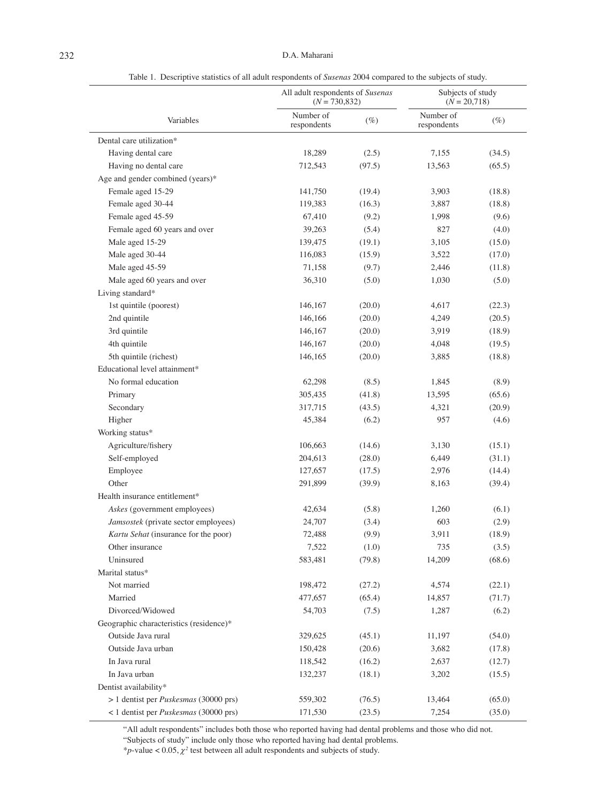|                                              | All adult respondents of Susenas<br>$(N = 730,832)$ |        | Subjects of study<br>$(N = 20,718)$ |        |  |
|----------------------------------------------|-----------------------------------------------------|--------|-------------------------------------|--------|--|
| Variables                                    | Number of<br>respondents                            | $(\%)$ | Number of<br>respondents            | $(\%)$ |  |
| Dental care utilization*                     |                                                     |        |                                     |        |  |
| Having dental care                           | 18,289                                              | (2.5)  | 7,155                               | (34.5) |  |
| Having no dental care                        | 712,543                                             | (97.5) | 13,563                              | (65.5) |  |
| Age and gender combined (years)*             |                                                     |        |                                     |        |  |
| Female aged 15-29                            | 141,750                                             | (19.4) | 3,903                               | (18.8) |  |
| Female aged 30-44                            | 119,383                                             | (16.3) | 3,887                               | (18.8) |  |
| Female aged 45-59                            | 67,410                                              | (9.2)  | 1,998                               | (9.6)  |  |
| Female aged 60 years and over                | 39,263                                              | (5.4)  | 827                                 | (4.0)  |  |
| Male aged 15-29                              | 139,475                                             | (19.1) | 3,105                               | (15.0) |  |
| Male aged 30-44                              | 116,083                                             | (15.9) | 3,522                               | (17.0) |  |
| Male aged 45-59                              | 71,158                                              | (9.7)  | 2,446                               | (11.8) |  |
| Male aged 60 years and over                  | 36,310                                              | (5.0)  | 1,030                               | (5.0)  |  |
| Living standard*                             |                                                     |        |                                     |        |  |
| 1st quintile (poorest)                       | 146,167                                             | (20.0) | 4,617                               | (22.3) |  |
| 2nd quintile                                 | 146,166                                             | (20.0) | 4,249                               | (20.5) |  |
| 3rd quintile                                 | 146,167                                             | (20.0) | 3,919                               | (18.9) |  |
| 4th quintile                                 | 146,167                                             | (20.0) | 4,048                               | (19.5) |  |
| 5th quintile (richest)                       | 146,165                                             | (20.0) | 3,885                               | (18.8) |  |
| Educational level attainment*                |                                                     |        |                                     |        |  |
| No formal education                          | 62,298                                              | (8.5)  | 1,845                               | (8.9)  |  |
| Primary                                      | 305,435                                             | (41.8) | 13,595                              | (65.6) |  |
| Secondary                                    | 317,715                                             | (43.5) | 4,321                               | (20.9) |  |
| Higher                                       | 45,384                                              | (6.2)  | 957                                 | (4.6)  |  |
| Working status*                              |                                                     |        |                                     |        |  |
| Agriculture/fishery                          | 106,663                                             | (14.6) | 3,130                               | (15.1) |  |
| Self-employed                                | 204,613                                             | (28.0) | 6,449                               | (31.1) |  |
| Employee                                     | 127,657                                             | (17.5) | 2,976                               | (14.4) |  |
| Other                                        | 291,899                                             | (39.9) | 8,163                               | (39.4) |  |
| Health insurance entitlement*                |                                                     |        |                                     |        |  |
| Askes (government employees)                 | 42,634                                              | (5.8)  | 1,260                               | (6.1)  |  |
| Jamsostek (private sector employees)         | 24,707                                              | (3.4)  | 603                                 | (2.9)  |  |
| Kartu Sehat (insurance for the poor)         | 72,488                                              | (9.9)  | 3,911                               | (18.9) |  |
| Other insurance                              | 7,522                                               | (1.0)  | 735                                 | (3.5)  |  |
| Uninsured                                    | 583,481                                             | (79.8) | 14,209                              | (68.6) |  |
| Marital status*                              |                                                     |        |                                     |        |  |
| Not married                                  | 198,472                                             | (27.2) | 4,574                               | (22.1) |  |
| Married                                      | 477,657                                             | (65.4) | 14,857                              | (71.7) |  |
| Divorced/Widowed                             | 54,703                                              | (7.5)  | 1,287                               | (6.2)  |  |
| Geographic characteristics (residence)*      |                                                     |        |                                     |        |  |
| Outside Java rural                           | 329,625                                             | (45.1) | 11,197                              | (54.0) |  |
| Outside Java urban                           | 150,428                                             | (20.6) | 3,682                               | (17.8) |  |
| In Java rural                                | 118,542                                             | (16.2) | 2,637                               | (12.7) |  |
| In Java urban                                | 132,237                                             | (18.1) | 3,202                               | (15.5) |  |
| Dentist availability*                        |                                                     |        |                                     |        |  |
| > 1 dentist per Puskesmas (30000 prs)        | 559,302                                             | (76.5) | 13,464                              | (65.0) |  |
| < 1 dentist per <i>Puskesmas</i> (30000 prs) | 171,530                                             | (23.5) | 7,254                               | (35.0) |  |

Table 1. Descriptive statistics of all adult respondents of *Susenas* 2004 compared to the subjects of study.

"All adult respondents" includes both those who reported having had dental problems and those who did not.

"Subjects of study" include only those who reported having had dental problems.

\**p*-value <  $0.05$ ,  $\chi^2$  test between all adult respondents and subjects of study.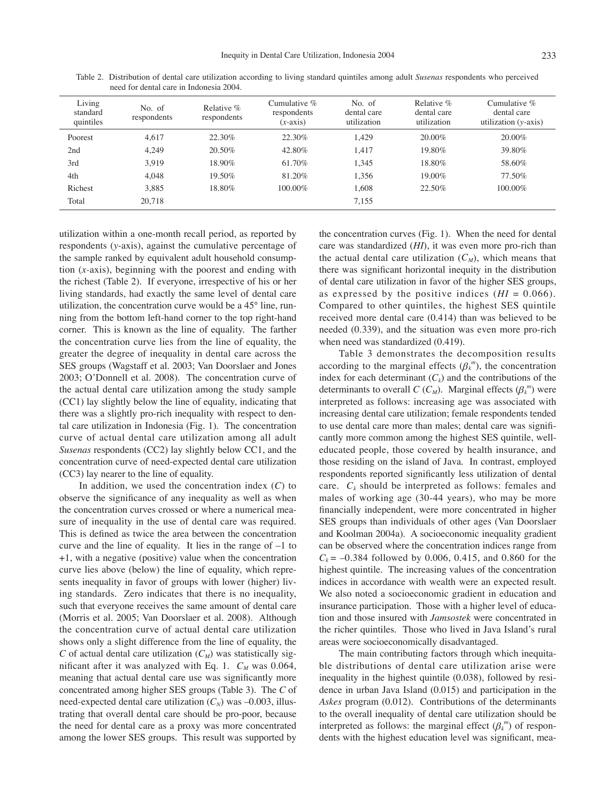| Living<br>standard<br>quintiles | No. of<br>respondents | Relative $\%$<br>respondents | Cumulative $\%$<br>respondents<br>$(x-axis)$ | No. of<br>dental care<br>utilization | Relative $%$<br>dental care<br>utilization | Cumulative $\%$<br>dental care<br>utilization $(v-axis)$ |
|---------------------------------|-----------------------|------------------------------|----------------------------------------------|--------------------------------------|--------------------------------------------|----------------------------------------------------------|
| Poorest                         | 4.617                 | 22.30%                       | 22.30%                                       | 1.429                                | $20.00\%$                                  | $20.00\%$                                                |
| 2nd                             | 4.249                 | 20.50%                       | 42.80%                                       | 1.417                                | 19.80%                                     | 39.80%                                                   |
| 3rd                             | 3.919                 | 18.90%                       | 61.70%                                       | 1,345                                | 18.80%                                     | 58.60%                                                   |
| 4th                             | 4.048                 | 19.50%                       | 81.20%                                       | 1,356                                | $19.00\%$                                  | 77.50%                                                   |
| Richest                         | 3,885                 | 18.80%                       | $100.00\%$                                   | 1.608                                | 22.50%                                     | $100.00\%$                                               |
| Total                           | 20.718                |                              |                                              | 7.155                                |                                            |                                                          |

Table 2. Distribution of dental care utilization according to living standard quintiles among adult *Susenas* respondents who perceived need for dental care in Indonesia 2004.

utilization within a one-month recall period, as reported by respondents (*y*-axis), against the cumulative percentage of the sample ranked by equivalent adult household consumption (*x-*axis), beginning with the poorest and ending with the richest (Table 2). If everyone, irrespective of his or her living standards, had exactly the same level of dental care utilization, the concentration curve would be a 45° line, running from the bottom left-hand corner to the top right-hand corner. This is known as the line of equality. The farther the concentration curve lies from the line of equality, the greater the degree of inequality in dental care across the SES groups (Wagstaff et al. 2003; Van Doorslaer and Jones 2003; O'Donnell et al. 2008). The concentration curve of the actual dental care utilization among the study sample (CC1) lay slightly below the line of equality, indicating that there was a slightly pro-rich inequality with respect to dental care utilization in Indonesia (Fig. 1). The concentration curve of actual dental care utilization among all adult *Susenas* respondents (CC2) lay slightly below CC1, and the concentration curve of need-expected dental care utilization (CC3) lay nearer to the line of equality.

In addition, we used the concentration index (*C*) to observe the significance of any inequality as well as when the concentration curves crossed or where a numerical measure of inequality in the use of dental care was required. This is defined as twice the area between the concentration curve and the line of equality. It lies in the range of –1 to +1, with a negative (positive) value when the concentration curve lies above (below) the line of equality, which represents inequality in favor of groups with lower (higher) living standards. Zero indicates that there is no inequality, such that everyone receives the same amount of dental care (Morris et al. 2005; Van Doorslaer et al. 2008). Although the concentration curve of actual dental care utilization shows only a slight difference from the line of equality, the *C* of actual dental care utilization  $(C_M)$  was statistically significant after it was analyzed with Eq. 1.  $C_M$  was 0.064, meaning that actual dental care use was significantly more concentrated among higher SES groups (Table 3). The *C* of need-expected dental care utilization  $(C_N)$  was  $-0.003$ , illustrating that overall dental care should be pro-poor, because the need for dental care as a proxy was more concentrated among the lower SES groups. This result was supported by

the concentration curves (Fig. 1). When the need for dental care was standardized (*HI*), it was even more pro-rich than the actual dental care utilization  $(C_M)$ , which means that there was significant horizontal inequity in the distribution of dental care utilization in favor of the higher SES groups, as expressed by the positive indices  $(HI = 0.066)$ . Compared to other quintiles, the highest SES quintile received more dental care (0.414) than was believed to be needed (0.339), and the situation was even more pro-rich when need was standardized (0.419).

Table 3 demonstrates the decomposition results according to the marginal effects  $(\beta_k^m)$ , the concentration index for each determinant  $(C_k)$  and the contributions of the determinants to overall *C* ( $C_M$ ). Marginal effects ( $\beta_k^{\,m}$ ) were interpreted as follows: increasing age was associated with increasing dental care utilization; female respondents tended to use dental care more than males; dental care was significantly more common among the highest SES quintile, welleducated people, those covered by health insurance, and those residing on the island of Java. In contrast, employed respondents reported significantly less utilization of dental care.  $C_k$  should be interpreted as follows: females and males of working age (30-44 years), who may be more financially independent, were more concentrated in higher SES groups than individuals of other ages (Van Doorslaer and Koolman 2004a). A socioeconomic inequality gradient can be observed where the concentration indices range from  $C_k$  =  $-0.384$  followed by 0.006, 0.415, and 0.860 for the highest quintile. The increasing values of the concentration indices in accordance with wealth were an expected result. We also noted a socioeconomic gradient in education and insurance participation. Those with a higher level of education and those insured with *Jamsostek* were concentrated in the richer quintiles. Those who lived in Java Island's rural areas were socioeconomically disadvantaged.

The main contributing factors through which inequitable distributions of dental care utilization arise were inequality in the highest quintile (0.038), followed by residence in urban Java Island (0.015) and participation in the *Askes* program (0.012). Contributions of the determinants to the overall inequality of dental care utilization should be interpreted as follows: the marginal effect  $(\beta_k^m)$  of respondents with the highest education level was significant, mea-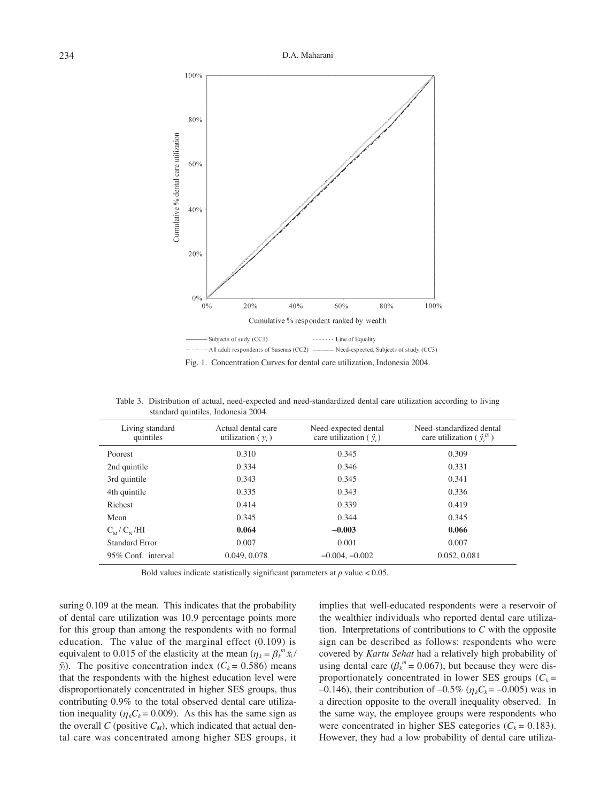

Fig. 1. Concentration Curves for dental care utilization, Indonesia 2004.

| Living standard<br>quintiles | Actual dental care<br>utilization $(y_i)$ | Need-expected dental<br>care utilization ( $\hat{v}$ .) | Need-standardized dental<br>care utilization ( $\hat{y}^{IS}$ ) |  |  |
|------------------------------|-------------------------------------------|---------------------------------------------------------|-----------------------------------------------------------------|--|--|
| Poorest                      | 0.310                                     | 0.345                                                   | 0.309                                                           |  |  |
| 2nd quintile                 | 0.334                                     | 0.346                                                   | 0.331                                                           |  |  |
| 3rd quintile                 | 0.343                                     | 0.345                                                   | 0.341                                                           |  |  |
| 4th quintile                 | 0.335                                     | 0.343                                                   | 0.336                                                           |  |  |
| Richest                      | 0.414                                     | 0.339                                                   | 0.419                                                           |  |  |
| Mean                         | 0.345                                     | 0.344                                                   | 0.345                                                           |  |  |
| $C_M/C_N/HI$                 | 0.064                                     | $-0.003$                                                | 0.066                                                           |  |  |
| Standard Error               | 0.007                                     | 0.001                                                   | 0.007                                                           |  |  |
| 95% Conf. interval           | 0.049, 0.078                              | $-0.004, -0.002$                                        | 0.052, 0.081                                                    |  |  |

Table 3. Distribution of actual, need-expected and need-standardized dental care utilization according to living standard quintiles, Indonesia 2004.

Bold values indicate statistically significant parameters at  $p$  value  $< 0.05$ .

suring 0.109 at the mean. This indicates that the probability of dental care utilization was 10.9 percentage points more for this group than among the respondents with no formal education. The value of the marginal effect (0.109) is equivalent to 0.015 of the elasticity at the mean  $(\eta_k = \beta_k^m \bar{x}_i)$  $\bar{y}_i$ ). The positive concentration index ( $C_k$  = 0.586) means that the respondents with the highest education level were disproportionately concentrated in higher SES groups, thus contributing 0.9% to the total observed dental care utilization inequality ( $\eta_k C_k = 0.009$ ). As this has the same sign as the overall  $C$  (positive  $C_M$ ), which indicated that actual dental care was concentrated among higher SES groups, it

implies that well-educated respondents were a reservoir of the wealthier individuals who reported dental care utilization. Interpretations of contributions to *C* with the opposite sign can be described as follows: respondents who were covered by *Kartu Sehat* had a relatively high probability of using dental care  $(\beta_k^m = 0.067)$ , but because they were disproportionately concentrated in lower SES groups  $(C_k =$ –0.146), their contribution of –0.5% ( $\eta_k C_k = -0.005$ ) was in a direction opposite to the overall inequality observed. In the same way, the employee groups were respondents who were concentrated in higher SES categories ( $C_k$  = 0.183). However, they had a low probability of dental care utiliza-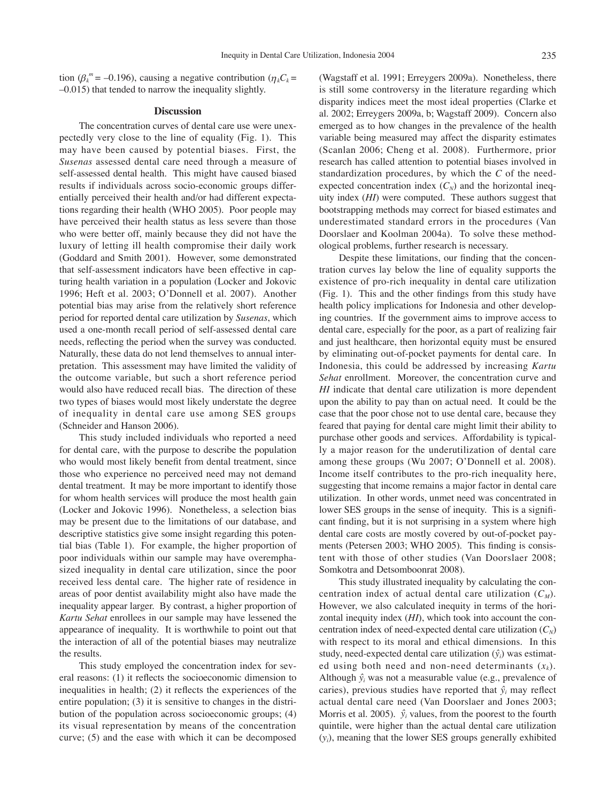tion ( $\beta_k^m$  = –0.196), causing a negative contribution ( $\eta_k C_k$  = –0.015) that tended to narrow the inequality slightly.

#### **Discussion**

The concentration curves of dental care use were unexpectedly very close to the line of equality (Fig. 1). This may have been caused by potential biases. First, the *Susenas* assessed dental care need through a measure of self-assessed dental health. This might have caused biased results if individuals across socio-economic groups differentially perceived their health and/or had different expectations regarding their health (WHO 2005). Poor people may have perceived their health status as less severe than those who were better off, mainly because they did not have the luxury of letting ill health compromise their daily work (Goddard and Smith 2001). However, some demonstrated that self-assessment indicators have been effective in capturing health variation in a population (Locker and Jokovic 1996; Heft et al. 2003; O'Donnell et al. 2007). Another potential bias may arise from the relatively short reference period for reported dental care utilization by *Susenas*, which used a one-month recall period of self-assessed dental care needs, reflecting the period when the survey was conducted. Naturally, these data do not lend themselves to annual interpretation. This assessment may have limited the validity of the outcome variable, but such a short reference period would also have reduced recall bias. The direction of these two types of biases would most likely understate the degree of inequality in dental care use among SES groups (Schneider and Hanson 2006).

This study included individuals who reported a need for dental care, with the purpose to describe the population who would most likely benefit from dental treatment, since those who experience no perceived need may not demand dental treatment. It may be more important to identify those for whom health services will produce the most health gain (Locker and Jokovic 1996). Nonetheless, a selection bias may be present due to the limitations of our database, and descriptive statistics give some insight regarding this potential bias (Table 1). For example, the higher proportion of poor individuals within our sample may have overemphasized inequality in dental care utilization, since the poor received less dental care. The higher rate of residence in areas of poor dentist availability might also have made the inequality appear larger. By contrast, a higher proportion of *Kartu Sehat* enrollees in our sample may have lessened the appearance of inequality. It is worthwhile to point out that the interaction of all of the potential biases may neutralize the results.

This study employed the concentration index for several reasons: (1) it reflects the socioeconomic dimension to inequalities in health; (2) it reflects the experiences of the entire population; (3) it is sensitive to changes in the distribution of the population across socioeconomic groups; (4) its visual representation by means of the concentration curve; (5) and the ease with which it can be decomposed (Wagstaff et al. 1991; Erreygers 2009a). Nonetheless, there is still some controversy in the literature regarding which disparity indices meet the most ideal properties (Clarke et al. 2002; Erreygers 2009a, b; Wagstaff 2009). Concern also emerged as to how changes in the prevalence of the health variable being measured may affect the disparity estimates (Scanlan 2006; Cheng et al. 2008). Furthermore, prior research has called attention to potential biases involved in standardization procedures, by which the *C* of the needexpected concentration index  $(C<sub>N</sub>)$  and the horizontal inequity index (*HI*) were computed. These authors suggest that bootstrapping methods may correct for biased estimates and underestimated standard errors in the procedures (Van Doorslaer and Koolman 2004a). To solve these methodological problems, further research is necessary.

Despite these limitations, our finding that the concentration curves lay below the line of equality supports the existence of pro-rich inequality in dental care utilization (Fig. 1). This and the other findings from this study have health policy implications for Indonesia and other developing countries. If the government aims to improve access to dental care, especially for the poor, as a part of realizing fair and just healthcare, then horizontal equity must be ensured by eliminating out-of-pocket payments for dental care. In Indonesia, this could be addressed by increasing *Kartu Sehat* enrollment. Moreover, the concentration curve and *HI* indicate that dental care utilization is more dependent upon the ability to pay than on actual need. It could be the case that the poor chose not to use dental care, because they feared that paying for dental care might limit their ability to purchase other goods and services. Affordability is typically a major reason for the underutilization of dental care among these groups (Wu 2007; O'Donnell et al. 2008). Income itself contributes to the pro-rich inequality here, suggesting that income remains a major factor in dental care utilization. In other words, unmet need was concentrated in lower SES groups in the sense of inequity. This is a significant finding, but it is not surprising in a system where high dental care costs are mostly covered by out-of-pocket payments (Petersen 2003; WHO 2005). This finding is consistent with those of other studies (Van Doorslaer 2008; Somkotra and Detsomboonrat 2008).

This study illustrated inequality by calculating the concentration index of actual dental care utilization  $(C_M)$ . However, we also calculated inequity in terms of the horizontal inequity index (*HI*), which took into account the concentration index of need-expected dental care utilization  $(C_N)$ with respect to its moral and ethical dimensions. In this study, need-expected dental care utilization  $(\hat{y}_i)$  was estimated using both need and non-need determinants  $(x_k)$ . Although  $\hat{y}_i$  was not a measurable value (e.g., prevalence of caries), previous studies have reported that  $\hat{y}_i$  may reflect actual dental care need (Van Doorslaer and Jones 2003; Morris et al. 2005).  $\hat{y}_i$  values, from the poorest to the fourth quintile, were higher than the actual dental care utilization (*yi*), meaning that the lower SES groups generally exhibited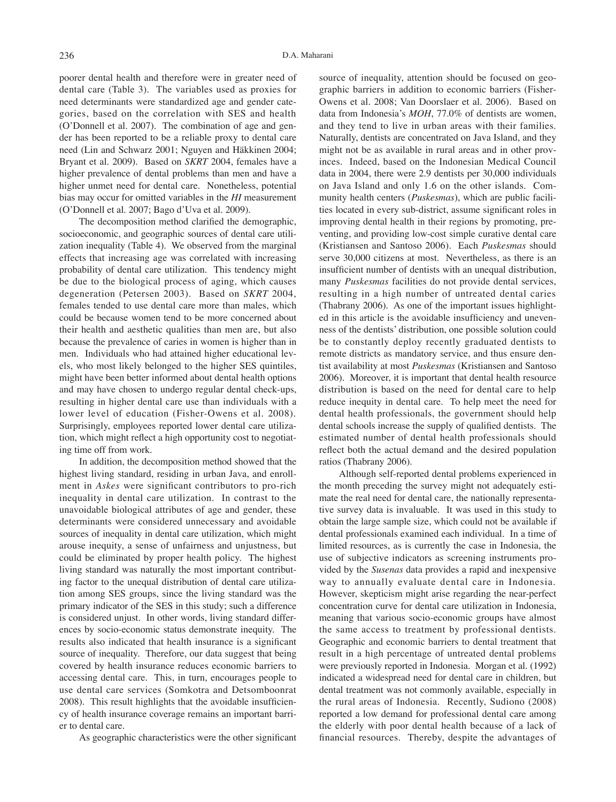poorer dental health and therefore were in greater need of dental care (Table 3). The variables used as proxies for need determinants were standardized age and gender categories, based on the correlation with SES and health (O'Donnell et al. 2007). The combination of age and gender has been reported to be a reliable proxy to dental care need (Lin and Schwarz 2001; Nguyen and Häkkinen 2004; Bryant et al. 2009). Based on *SKRT* 2004, females have a higher prevalence of dental problems than men and have a higher unmet need for dental care. Nonetheless, potential bias may occur for omitted variables in the *HI* measurement (O'Donnell et al. 2007; Bago d'Uva et al. 2009).

The decomposition method clarified the demographic, socioeconomic, and geographic sources of dental care utilization inequality (Table 4). We observed from the marginal effects that increasing age was correlated with increasing probability of dental care utilization. This tendency might be due to the biological process of aging, which causes degeneration (Petersen 2003). Based on *SKRT* 2004, females tended to use dental care more than males, which could be because women tend to be more concerned about their health and aesthetic qualities than men are, but also because the prevalence of caries in women is higher than in men. Individuals who had attained higher educational levels, who most likely belonged to the higher SES quintiles, might have been better informed about dental health options and may have chosen to undergo regular dental check-ups, resulting in higher dental care use than individuals with a lower level of education (Fisher-Owens et al. 2008). Surprisingly, employees reported lower dental care utilization, which might reflect a high opportunity cost to negotiating time off from work.

In addition, the decomposition method showed that the highest living standard, residing in urban Java, and enrollment in *Askes* were significant contributors to pro-rich inequality in dental care utilization. In contrast to the unavoidable biological attributes of age and gender, these determinants were considered unnecessary and avoidable sources of inequality in dental care utilization, which might arouse inequity, a sense of unfairness and unjustness, but could be eliminated by proper health policy. The highest living standard was naturally the most important contributing factor to the unequal distribution of dental care utilization among SES groups, since the living standard was the primary indicator of the SES in this study; such a difference is considered unjust. In other words, living standard differences by socio-economic status demonstrate inequity. The results also indicated that health insurance is a significant source of inequality. Therefore, our data suggest that being covered by health insurance reduces economic barriers to accessing dental care. This, in turn, encourages people to use dental care services (Somkotra and Detsomboonrat 2008). This result highlights that the avoidable insufficiency of health insurance coverage remains an important barrier to dental care.

As geographic characteristics were the other significant

source of inequality, attention should be focused on geographic barriers in addition to economic barriers (Fisher-Owens et al. 2008; Van Doorslaer et al. 2006). Based on data from Indonesia's *MOH*, 77.0% of dentists are women, and they tend to live in urban areas with their families. Naturally, dentists are concentrated on Java Island, and they might not be as available in rural areas and in other provinces. Indeed, based on the Indonesian Medical Council data in 2004, there were 2.9 dentists per 30,000 individuals on Java Island and only 1.6 on the other islands. Community health centers (*Puskesmas*), which are public facilities located in every sub-district, assume significant roles in improving dental health in their regions by promoting, preventing, and providing low-cost simple curative dental care (Kristiansen and Santoso 2006). Each *Puskesmas* should serve 30,000 citizens at most. Nevertheless, as there is an insufficient number of dentists with an unequal distribution, many *Puskesmas* facilities do not provide dental services, resulting in a high number of untreated dental caries (Thabrany 2006). As one of the important issues highlighted in this article is the avoidable insufficiency and unevenness of the dentists' distribution, one possible solution could be to constantly deploy recently graduated dentists to remote districts as mandatory service, and thus ensure dentist availability at most *Puskesmas* (Kristiansen and Santoso 2006). Moreover, it is important that dental health resource distribution is based on the need for dental care to help reduce inequity in dental care. To help meet the need for dental health professionals, the government should help dental schools increase the supply of qualified dentists. The estimated number of dental health professionals should reflect both the actual demand and the desired population ratios (Thabrany 2006).

Although self-reported dental problems experienced in the month preceding the survey might not adequately estimate the real need for dental care, the nationally representative survey data is invaluable. It was used in this study to obtain the large sample size, which could not be available if dental professionals examined each individual. In a time of limited resources, as is currently the case in Indonesia, the use of subjective indicators as screening instruments provided by the *Susenas* data provides a rapid and inexpensive way to annually evaluate dental care in Indonesia. However, skepticism might arise regarding the near-perfect concentration curve for dental care utilization in Indonesia, meaning that various socio-economic groups have almost the same access to treatment by professional dentists. Geographic and economic barriers to dental treatment that result in a high percentage of untreated dental problems were previously reported in Indonesia. Morgan et al. (1992) indicated a widespread need for dental care in children, but dental treatment was not commonly available, especially in the rural areas of Indonesia. Recently, Sudiono (2008) reported a low demand for professional dental care among the elderly with poor dental health because of a lack of financial resources. Thereby, despite the advantages of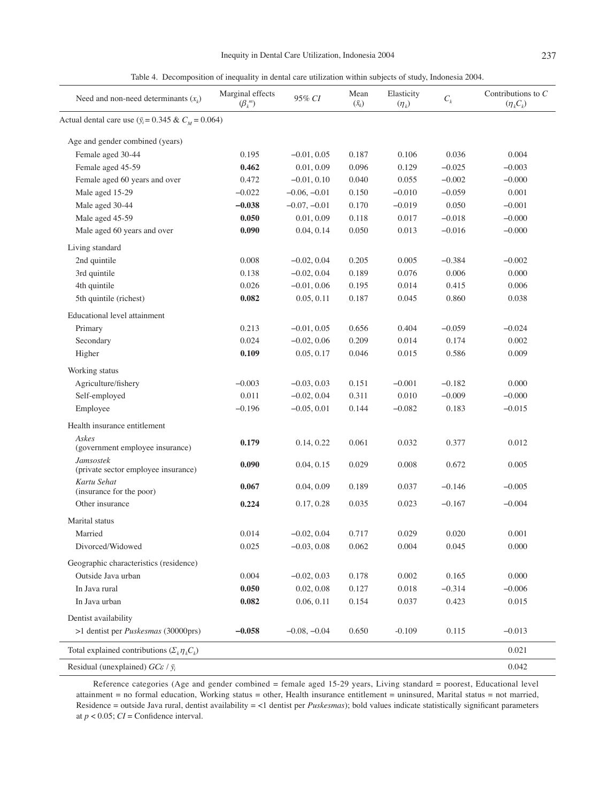Table 4. Decomposition of inequality in dental care utilization within subjects of study, Indonesia 2004.

| Need and non-need determinants $(x_i)$                      | Marginal effects<br>$(\beta_k^m)$ | 95% CI         | Mean<br>$(\bar{x}_k)$ | Elasticity<br>$(\eta_k)$ | $\boldsymbol{C}_k$ | Contributions to $C$<br>$(\eta_k C_k)$ |
|-------------------------------------------------------------|-----------------------------------|----------------|-----------------------|--------------------------|--------------------|----------------------------------------|
| Actual dental care use $(\bar{y}_i = 0.345 \& C_M = 0.064)$ |                                   |                |                       |                          |                    |                                        |
| Age and gender combined (years)                             |                                   |                |                       |                          |                    |                                        |
| Female aged 30-44                                           | 0.195                             | $-0.01, 0.05$  | 0.187                 | 0.106                    | 0.036              | 0.004                                  |
| Female aged 45-59                                           | 0.462                             | 0.01, 0.09     | 0.096                 | 0.129                    | $-0.025$           | $-0.003$                               |
| Female aged 60 years and over                               | 0.472                             | $-0.01, 0.10$  | 0.040                 | 0.055                    | $-0.002$           | $-0.000$                               |
| Male aged 15-29                                             | $-0.022$                          | $-0.06, -0.01$ | 0.150                 | $-0.010$                 | $-0.059$           | 0.001                                  |
| Male aged 30-44                                             | $-0.038$                          | $-0.07, -0.01$ | 0.170                 | $-0.019$                 | 0.050              | $-0.001$                               |
| Male aged 45-59                                             | 0.050                             | 0.01, 0.09     | 0.118                 | 0.017                    | $-0.018$           | $-0.000$                               |
| Male aged 60 years and over                                 | 0.090                             | 0.04, 0.14     | 0.050                 | 0.013                    | $-0.016$           | $-0.000$                               |
| Living standard                                             |                                   |                |                       |                          |                    |                                        |
| 2nd quintile                                                | 0.008                             | $-0.02, 0.04$  | 0.205                 | 0.005                    | $-0.384$           | $-0.002$                               |
| 3rd quintile                                                | 0.138                             | $-0.02, 0.04$  | 0.189                 | 0.076                    | 0.006              | 0.000                                  |
| 4th quintile                                                | 0.026                             | $-0.01, 0.06$  | 0.195                 | 0.014                    | 0.415              | 0.006                                  |
| 5th quintile (richest)                                      | 0.082                             | 0.05, 0.11     | 0.187                 | 0.045                    | 0.860              | 0.038                                  |
| Educational level attainment                                |                                   |                |                       |                          |                    |                                        |
| Primary                                                     | 0.213                             | $-0.01, 0.05$  | 0.656                 | 0.404                    | $-0.059$           | $-0.024$                               |
| Secondary                                                   | 0.024                             | $-0.02, 0.06$  | 0.209                 | 0.014                    | 0.174              | 0.002                                  |
| Higher                                                      | 0.109                             | 0.05, 0.17     | 0.046                 | 0.015                    | 0.586              | 0.009                                  |
| Working status                                              |                                   |                |                       |                          |                    |                                        |
| Agriculture/fishery                                         | $-0.003$                          | $-0.03, 0.03$  | 0.151                 | $-0.001$                 | $-0.182$           | 0.000                                  |
| Self-employed                                               | 0.011                             | $-0.02, 0.04$  | 0.311                 | 0.010                    | $-0.009$           | $-0.000$                               |
| Employee                                                    | $-0.196$                          | $-0.05, 0.01$  | 0.144                 | $-0.082$                 | 0.183              | $-0.015$                               |
| Health insurance entitlement                                |                                   |                |                       |                          |                    |                                        |
| Askes<br>(government employee insurance)                    | 0.179                             | 0.14, 0.22     | 0.061                 | 0.032                    | 0.377              | 0.012                                  |
| Jamsostek<br>(private sector employee insurance)            | 0.090                             | 0.04, 0.15     | 0.029                 | 0.008                    | 0.672              | 0.005                                  |
| Kartu Sehat<br>(insurance for the poor)                     | 0.067                             | 0.04, 0.09     | 0.189                 | 0.037                    | $-0.146$           | $-0.005$                               |
| Other insurance                                             | 0.224                             | 0.17, 0.28     | 0.035                 | 0.023                    | $-0.167$           | $-0.004$                               |
| Marital status                                              |                                   |                |                       |                          |                    |                                        |
| Married                                                     | 0.014                             | $-0.02, 0.04$  | 0.717                 | 0.029                    | 0.020              | 0.001                                  |
| Divorced/Widowed                                            | 0.025                             | $-0.03, 0.08$  | 0.062                 | 0.004                    | 0.045              | 0.000                                  |
| Geographic characteristics (residence)                      |                                   |                |                       |                          |                    |                                        |
| Outside Java urban                                          | 0.004                             | $-0.02, 0.03$  | 0.178                 | 0.002                    | 0.165              | 0.000                                  |
| In Java rural                                               | 0.050                             | 0.02, 0.08     | 0.127                 | 0.018                    | $-0.314$           | $-0.006$                               |
| In Java urban                                               | 0.082                             | 0.06, 0.11     | 0.154                 | 0.037                    | 0.423              | 0.015                                  |
| Dentist availability                                        |                                   |                |                       |                          |                    |                                        |
| >1 dentist per <i>Puskesmas</i> (30000prs)                  | $-0.058$                          | $-0.08, -0.04$ | 0.650                 | $-0.109$                 | 0.115              | $-0.013$                               |
| Total explained contributions $(\Sigma_k \eta_k C_k)$       |                                   |                |                       |                          |                    | 0.021                                  |
| Residual (unexplained) $GC\varepsilon / \bar{y}_i$          |                                   |                |                       |                          |                    | 0.042                                  |

Reference categories (Age and gender combined = female aged 15-29 years, Living standard = poorest, Educational level attainment = no formal education, Working status = other, Health insurance entitlement = uninsured, Marital status = not married, Residence = outside Java rural, dentist availability = <1 dentist per *Puskesmas*); bold values indicate statistically significant parameters at  $p < 0.05$ ;  $CI =$  Confidence interval.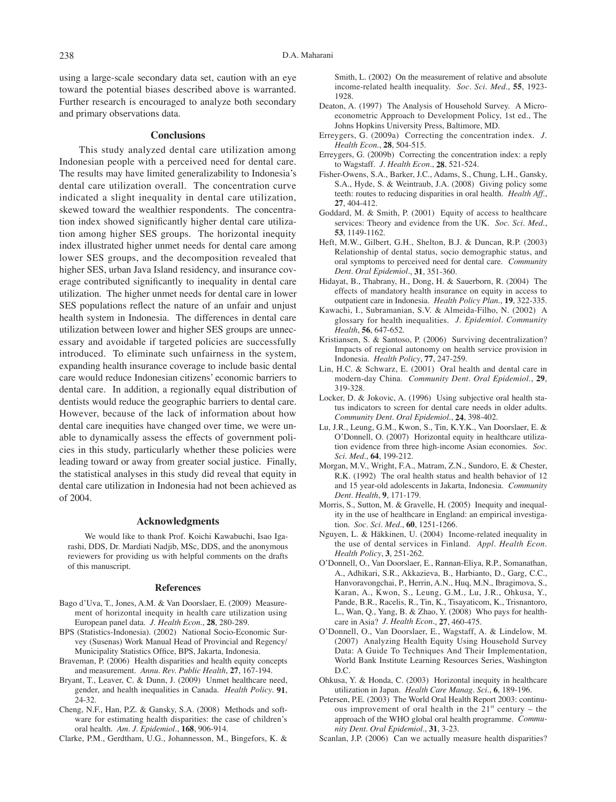using a large-scale secondary data set, caution with an eye toward the potential biases described above is warranted. Further research is encouraged to analyze both secondary and primary observations data.

#### **Conclusions**

This study analyzed dental care utilization among Indonesian people with a perceived need for dental care. The results may have limited generalizability to Indonesia's dental care utilization overall. The concentration curve indicated a slight inequality in dental care utilization, skewed toward the wealthier respondents. The concentration index showed significantly higher dental care utilization among higher SES groups. The horizontal inequity index illustrated higher unmet needs for dental care among lower SES groups, and the decomposition revealed that higher SES, urban Java Island residency, and insurance coverage contributed significantly to inequality in dental care utilization. The higher unmet needs for dental care in lower SES populations reflect the nature of an unfair and unjust health system in Indonesia. The differences in dental care utilization between lower and higher SES groups are unnecessary and avoidable if targeted policies are successfully introduced. To eliminate such unfairness in the system, expanding health insurance coverage to include basic dental care would reduce Indonesian citizens' economic barriers to dental care. In addition, a regionally equal distribution of dentists would reduce the geographic barriers to dental care. However, because of the lack of information about how dental care inequities have changed over time, we were unable to dynamically assess the effects of government policies in this study, particularly whether these policies were leading toward or away from greater social justice. Finally, the statistical analyses in this study did reveal that equity in dental care utilization in Indonesia had not been achieved as of 2004.

### **Acknowledgments**

We would like to thank Prof. Koichi Kawabuchi, Isao Igarashi, DDS, Dr. Mardiati Nadjib, MSc, DDS, and the anonymous reviewers for providing us with helpful comments on the drafts of this manuscript.

#### **References**

- Bago d'Uva, T., Jones, A.M. & Van Doorslaer, E. (2009) Measurement of horizontal inequity in health care utilization using European panel data. *J. Health Econ.*, **28**, 280-289.
- BPS (Statistics-Indonesia). (2002) National Socio-Economic Survey (Susenas) Work Manual Head of Provincial and Regency/ Municipality Statistics Office, BPS, Jakarta, Indonesia.
- Braveman, P. (2006) Health disparities and health equity concepts and measurement. *Annu. Rev. Public Health*, **27**, 167-194.
- Bryant, T., Leaver, C. & Dunn, J. (2009) Unmet healthcare need, gender, and health inequalities in Canada. *Health Policy*. **91**, 24-32.
- Cheng, N.F., Han, P.Z. & Gansky, S.A. (2008) Methods and software for estimating health disparities: the case of children's oral health. *Am. J. Epidemiol*., **168**, 906-914.
- Clarke, P.M., Gerdtham, U.G., Johannesson, M., Bingefors, K. &

Smith, L. (2002) On the measurement of relative and absolute income-related health inequality. *Soc. Sci. Med.*, **55**, 1923- 1928.

- Deaton, A. (1997) The Analysis of Household Survey. A Microeconometric Approach to Development Policy, 1st ed., The Johns Hopkins University Press, Baltimore, MD.
- Erreygers, G. (2009a) Correcting the concentration index. *J. Health Econ.*, **28**, 504-515.
- Erreygers, G. (2009b) Correcting the concentration index: a reply to Wagstaff. *J. Health Econ.*, **28**, 521-524.
- Fisher-Owens, S.A., Barker, J.C., Adams, S., Chung, L.H., Gansky, S.A., Hyde, S. & Weintraub, J.A. (2008) Giving policy some teeth: routes to reducing disparities in oral health. *Health Aff.*, **27**, 404-412.
- Goddard, M. & Smith, P. (2001) Equity of access to healthcare services: Theory and evidence from the UK. *Soc. Sci. Med.*, **53**, 1149-1162.
- Heft, M.W., Gilbert, G.H., Shelton, B.J. & Duncan, R.P. (2003) Relationship of dental status, socio demographic status, and oral symptoms to perceived need for dental care. *Community Dent. Oral Epidemiol.*, **31**, 351-360.
- Hidayat, B., Thabrany, H., Dong, H. & Sauerborn, R. (2004) The effects of mandatory health insurance on equity in access to outpatient care in Indonesia. *Health Policy Plan.*, **19**, 322-335.
- Kawachi, I., Subramanian, S.V. & Almeida-Filho, N. (2002) A glossary for health inequalities. *J. Epidemiol. Community Health*, **56**, 647-652.
- Kristiansen, S. & Santoso, P. (2006) Surviving decentralization? Impacts of regional autonomy on health service provision in Indonesia. *Health Policy*, **77**, 247-259.
- Lin, H.C. & Schwarz, E. (2001) Oral health and dental care in modern-day China. *Community Dent. Oral Epidemiol.*, **29**, 319-328.
- Locker, D. & Jokovic, A. (1996) Using subjective oral health status indicators to screen for dental care needs in older adults. *Community Dent. Oral Epidemiol.*, **24**, 398-402.
- Lu, J.R., Leung, G.M., Kwon, S., Tin, K.Y.K., Van Doorslaer, E. & O'Donnell, O. (2007) Horizontal equity in healthcare utilization evidence from three high-income Asian economies. *Soc. Sci. Med.*, **64**, 199-212.
- Morgan, M.V., Wright, F.A., Matram, Z.N., Sundoro, E. & Chester, R.K. (1992) The oral health status and health behavior of 12 and 15 year-old adolescents in Jakarta, Indonesia. *Community Dent. Health*, **9**, 171-179.
- Morris, S., Sutton, M. & Gravelle, H. (2005) Inequity and inequality in the use of healthcare in England: an empirical investigation. *Soc. Sci. Med.*, **60**, 1251-1266.
- Nguyen, L. & Häkkinen, U. (2004) Income-related inequality in the use of dental services in Finland. *Appl. Health Econ. Health Policy*, **3**, 251-262.
- O'Donnell, O., Van Doorslaer, E., Rannan-Eliya, R.P., Somanathan, A., Adhikari, S.R., Akkazieva, B., Harbianto, D., Garg, C.C., Hanvoravongchai, P., Herrin, A.N., Huq, M.N., Ibragimova, S., Karan, A., Kwon, S., Leung, G.M., Lu, J.R., Ohkusa, Y., Pande, B.R., Racelis, R., Tin, K., Tisayaticom, K., Trisnantoro, L., Wan, Q., Yang, B. & Zhao, Y. (2008) Who pays for healthcare in Asia? *J. Health Econ.*, **27**, 460-475.
- O'Donnell, O., Van Doorslaer, E., Wagstaff, A. & Lindelow, M. (2007) Analyzing Health Equity Using Household Survey Data: A Guide To Techniques And Their Implementation, World Bank Institute Learning Resources Series, Washington D.C.
- Ohkusa, Y. & Honda, C. (2003) Horizontal inequity in healthcare utilization in Japan. *Health Care Manag. Sci.*, **6**, 189-196.
- Petersen, P.E. (2003) The World Oral Health Report 2003: continuous improvement of oral health in the  $21<sup>st</sup>$  century – the approach of the WHO global oral health programme. *Community Dent. Oral Epidemiol.*, **31**, 3-23.
- Scanlan, J.P. (2006) Can we actually measure health disparities?